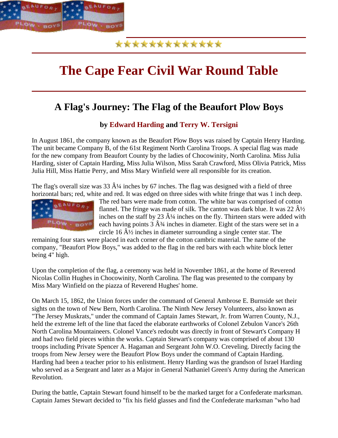

### \*\*\*\*\*\*\*\*\*\*\*

# **The Cape Fear Civil War Round Table**

## **A Flag's Journey: The Flag of the Beaufort Plow Boys**

**by Edward Harding and Terry W. Tersigni**

In August 1861, the company known as the Beaufort Plow Boys was raised by Captain Henry Harding. The unit became Company B, of the 61st Regiment North Carolina Troops. A special flag was made for the new company from Beaufort County by the ladies of Chocowinity, North Carolina. Miss Julia Harding, sister of Captain Harding, Miss Julia Wilson, Miss Sarah Crawford, Miss Olivia Patrick, Miss Julia Hill, Miss Hattie Perry, and Miss Mary Winfield were all responsible for its creation.

The flag's overall size was  $33 \hat{A}/4$  inches by 67 inches. The flag was designed with a field of three horizontal bars; red, white and red. It was edged on three sides with white fringe that was 1 inch deep.



The red bars were made from cotton. The white bar was comprised of cotton flannel. The fringe was made of silk. The canton was dark blue. It was  $22 \hat{A}$  //<sub>2</sub> inches on the staff by 23  $\hat{A}$ <sup>1</sup>/4 inches on the fly. Thirteen stars were added with each having points  $3 \hat{A}$ <sup>3</sup>/<sub>4</sub> inches in diameter. Eight of the stars were set in a circle 16  $\hat{A}$  inches in diameter surrounding a single center star. The

remaining four stars were placed in each corner of the cotton cambric material. The name of the company, "Beaufort Plow Boys," was added to the flag in the red bars with each white block letter being 4" high.

Upon the completion of the flag, a ceremony was held in November 1861, at the home of Reverend Nicolas Collin Hughes in Chocowinity, North Carolina. The flag was presented to the company by Miss Mary Winfield on the piazza of Reverend Hughes' home.

On March 15, 1862, the Union forces under the command of General Ambrose E. Burnside set their sights on the town of New Bern, North Carolina. The Ninth New Jersey Volunteers, also known as "The Jersey Muskrats," under the command of Captain James Stewart, Jr. from Warren County, N.J., held the extreme left of the line that faced the elaborate earthworks of Colonel Zebulon Vance's 26th North Carolina Mountaineers. Colonel Vance's redoubt was directly in front of Stewart's Company H and had two field pieces within the works. Captain Stewart's company was comprised of about 130 troops including Private Spencer A. Hagaman and Sergeant John W.O. Creveling. Directly facing the troops from New Jersey were the Beaufort Plow Boys under the command of Captain Harding. Harding had been a teacher prior to his enlistment. Henry Harding was the grandson of Israel Harding who served as a Sergeant and later as a Major in General Nathaniel Green's Army during the American Revolution.

During the battle, Captain Stewart found himself to be the marked target for a Confederate marksman. Captain James Stewart decided to "fix his field glasses and find the Confederate marksman "who had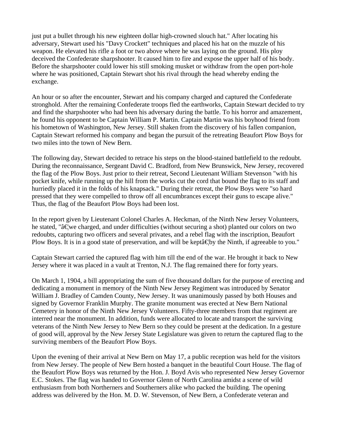just put a bullet through his new eighteen dollar high-crowned slouch hat." After locating his adversary, Stewart used his "Davy Crockett" techniques and placed his hat on the muzzle of his weapon. He elevated his rifle a foot or two above where he was laying on the ground. His ploy deceived the Confederate sharpshooter. It caused him to fire and expose the upper half of his body. Before the sharpshooter could lower his still smoking musket or withdraw from the open port-hole where he was positioned, Captain Stewart shot his rival through the head whereby ending the exchange.

An hour or so after the encounter, Stewart and his company charged and captured the Confederate stronghold. After the remaining Confederate troops fled the earthworks, Captain Stewart decided to try and find the sharpshooter who had been his adversary during the battle. To his horror and amazement, he found his opponent to be Captain William P. Martin. Captain Martin was his boyhood friend from his hometown of Washington, New Jersey. Still shaken from the discovery of his fallen companion, Captain Stewart reformed his company and began the pursuit of the retreating Beaufort Plow Boys for two miles into the town of New Bern.

The following day, Stewart decided to retrace his steps on the blood-stained battlefield to the redoubt. During the reconnaissance, Sergeant David C. Bradford, from New Brunswick, New Jersey, recovered the flag of the Plow Boys. Just prior to their retreat, Second Lieutenant William Stevenson "with his pocket knife, while running up the hill from the works cut the cord that bound the flag to its staff and hurriedly placed it in the folds of his knapsack." During their retreat, the Plow Boys were "so hard pressed that they were compelled to throw off all encumbrances except their guns to escape alive." Thus, the flag of the Beaufort Plow Boys had been lost.

In the report given by Lieutenant Colonel Charles A. Heckman, of the Ninth New Jersey Volunteers, he stated, " $\hat{a} \in \mathbb{R}$  excharged, and under difficulties (without securing a shot) planted our colors on two redoubts, capturing two officers and several privates, and a rebel flag with the inscription, Beaufort Plow Boys. It is in a good state of preservation, and will be kept  $\hat{a} \in \mathbb{R}$  the Ninth, if agreeable to you."

Captain Stewart carried the captured flag with him till the end of the war. He brought it back to New Jersey where it was placed in a vault at Trenton, N.J. The flag remained there for forty years.

On March 1, 1904, a bill appropriating the sum of five thousand dollars for the purpose of erecting and dedicating a monument in memory of the Ninth New Jersey Regiment was introduced by Senator William J. Bradley of Camden County, New Jersey. It was unanimously passed by both Houses and signed by Governor Franklin Murphy. The granite monument was erected at New Bern National Cemetery in honor of the Ninth New Jersey Volunteers. Fifty-three members from that regiment are interred near the monument. In addition, funds were allocated to locate and transport the surviving veterans of the Ninth New Jersey to New Bern so they could be present at the dedication. In a gesture of good will, approval by the New Jersey State Legislature was given to return the captured flag to the surviving members of the Beaufort Plow Boys.

Upon the evening of their arrival at New Bern on May 17, a public reception was held for the visitors from New Jersey. The people of New Bern hosted a banquet in the beautiful Court House. The flag of the Beaufort Plow Boys was returned by the Hon. J. Boyd Avis who represented New Jersey Governor E.C. Stokes. The flag was handed to Governor Glenn of North Carolina amidst a scene of wild enthusiasm from both Northerners and Southerners alike who packed the building. The opening address was delivered by the Hon. M. D. W. Stevenson, of New Bern, a Confederate veteran and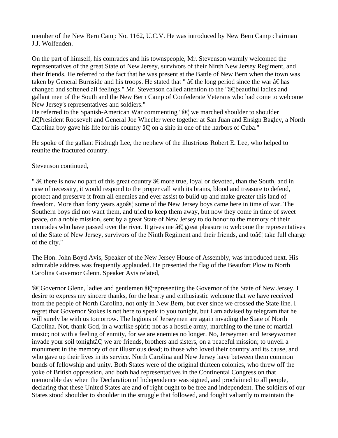member of the New Bern Camp No. 1162, U.C.V. He was introduced by New Bern Camp chairman J.J. Wolfenden.

On the part of himself, his comrades and his townspeople, Mr. Stevenson warmly welcomed the representatives of the great State of New Jersey, survivors of their Ninth New Jersey Regiment, and their friends. He referred to the fact that he was present at the Battle of New Bern when the town was taken by General Burnside and his troops. He stated that " â fthe long period since the war â fhas changed and softened all feelings." Mr. Stevenson called attention to the " $\hat{a} \in \hat{b}$  seautiful ladies and gallant men of the South and the New Bern Camp of Confederate Veterans who had come to welcome New Jersey's representatives and soldiers."

He referred to the Spanish-American War commenting " $\hat{a} \in \mathbb{R}$  we marched shoulder to shoulder â€President Roosevelt and General Joe Wheeler were together at San Juan and Ensign Bagley, a North Carolina boy gave his life for his country  $\hat{a} \in \{0, 0\}$  on a ship in one of the harbors of Cuba."

He spoke of the gallant Fitzhugh Lee, the nephew of the illustrious Robert E. Lee, who helped to reunite the fractured country.

#### Stevenson continued,

"  $\hat{a}$  Ethere is now no part of this great country  $\hat{a}$  Emore true, loyal or devoted, than the South, and in case of necessity, it would respond to the proper call with its brains, blood and treasure to defend, protect and preserve it from all enemies and ever assist to build up and make greater this land of freedom. More than forty years ago  $\hat{\epsilon}$  some of the New Jersey boys came here in time of war. The Southern boys did not want them, and tried to keep them away, but now they come in time of sweet peace, on a noble mission, sent by a great State of New Jersey to do honor to the memory of their comrades who have passed over the river. It gives me  $\hat{a} \in \hat{a}$  great pleasure to welcome the representatives of the State of New Jersey, survivors of the Ninth Regiment and their friends, and to  $\hat{a} \in \hat{a}$  take full charge of the city."

The Hon. John Boyd Avis, Speaker of the New Jersey House of Assembly, was introduced next. His admirable address was frequently applauded. He presented the flag of the Beaufort Plow to North Carolina Governor Glenn. Speaker Avis related,

'â€Governor Glenn, ladies and gentlemen â€representing the Governor of the State of New Jersey, I desire to express my sincere thanks, for the hearty and enthusiastic welcome that we have received from the people of North Carolina, not only in New Bern, but ever since we crossed the State line. I regret that Governor Stokes is not here to speak to you tonight, but I am advised by telegram that he will surely be with us tomorrow. The legions of Jerseymen are again invading the State of North Carolina. Not, thank God, in a warlike spirit; not as a hostile army, marching to the tune of martial music; not with a feeling of enmity, for we are enemies no longer. No, Jerseymen and Jerseywomen invade your soil tonight $\hat{a} \in \mathbb{R}$  we are friends, brothers and sisters, on a peaceful mission; to unveil a monument in the memory of our illustrious dead; to those who loved their country and its cause, and who gave up their lives in its service. North Carolina and New Jersey have between them common bonds of fellowship and unity. Both States were of the original thirteen colonies, who threw off the yoke of British oppression, and both had representatives in the Continental Congress on that memorable day when the Declaration of Independence was signed, and proclaimed to all people, declaring that these United States are and of right ought to be free and independent. The soldiers of our States stood shoulder to shoulder in the struggle that followed, and fought valiantly to maintain the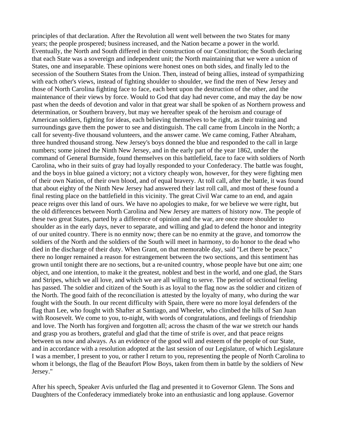principles of that declaration. After the Revolution all went well between the two States for many years; the people prospered; business increased, and the Nation became a power in the world. Eventually, the North and South differed in their construction of our Constitution; the South declaring that each State was a sovereign and independent unit; the North maintaining that we were a union of States, one and inseparable. These opinions were honest ones on both sides, and finally led to the secession of the Southern States from the Union. Then, instead of being allies, instead of sympathizing with each other's views, instead of fighting shoulder to shoulder, we find the men of New Jersey and those of North Carolina fighting face to face, each bent upon the destruction of the other, and the maintenance of their views by force. Would to God that day had never come, and may the day be now past when the deeds of devotion and valor in that great war shall be spoken of as Northern prowess and determination, or Southern bravery, but may we hereafter speak of the heroism and courage of American soldiers, fighting for ideas, each believing themselves to be right, as their training and surroundings gave them the power to see and distinguish. The call came from Lincoln in the North; a call for seventy-five thousand volunteers, and the answer came. We came coming, Father Abraham, three hundred thousand strong. New Jersey's boys donned the blue and responded to the call in large numbers; some joined the Ninth New Jersey, and in the early part of the year 1862, under the command of General Burnside, found themselves on this battlefield, face to face with soldiers of North Carolina, who in their suits of gray had loyally responded to your Confederacy. The battle was fought, and the boys in blue gained a victory; not a victory cheaply won, however, for they were fighting men of their own Nation, of their own blood, and of equal bravery. At toll call, after the battle, it was found that about eighty of the Ninth New Jersey had answered their last roll call, and most of these found a final resting place on the battlefield in this vicinity. The great Civil War came to an end, and again peace reigns over this land of ours. We have no apologies to make, for we believe we were right, but the old differences between North Carolina and New Jersey are matters of history now. The people of these two great States, parted by a difference of opinion and the war, are once more shoulder to shoulder as in the early days, never to separate, and willing and glad to defend the honor and integrity of our united country. There is no enmity now; there can be no enmity at the grave, and tomorrow the soldiers of the North and the soldiers of the South will meet in harmony, to do honor to the dead who died in the discharge of their duty. When Grant, on that memorable day, said "Let there be peace," there no longer remained a reason for estrangement between the two sections, and this sentiment has grown until tonight there are no sections, but a re-united country, whose people have but one aim; one object, and one intention, to make it the greatest, noblest and best in the world, and one glad, the Stars and Stripes, which we all love, and which we are all willing to serve. The period of sectional feeling has passed. The soldier and citizen of the South is as loyal to the flag now as the soldier and citizen of the North. The good faith of the reconciliation is attested by the loyalty of many, who during the war fought with the South. In our recent difficulty with Spain, there were no more loyal defenders of the flag than Lee, who fought with Shafter at Santiago, and Wheeler, who climbed the hills of San Juan with Roosevelt. We come to you, to-night, with words of congratulations, and feelings of friendship and love. The North has forgiven and forgotten all; across the chasm of the war we stretch our hands and grasp you as brothers, grateful and glad that the time of strife is over, and that peace reigns between us now and always. As an evidence of the good will and esteem of the people of our State, and in accordance with a resolution adopted at the last session of our Legislature, of which Legislature I was a member, I present to you, or rather I return to you, representing the people of North Carolina to whom it belongs, the flag of the Beaufort Plow Boys, taken from them in battle by the soldiers of New Jersey."

After his speech, Speaker Avis unfurled the flag and presented it to Governor Glenn. The Sons and Daughters of the Confederacy immediately broke into an enthusiastic and long applause. Governor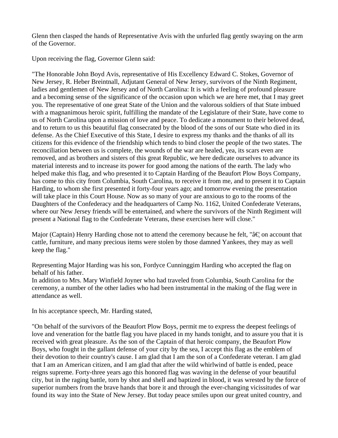Glenn then clasped the hands of Representative Avis with the unfurled flag gently swaying on the arm of the Governor.

Upon receiving the flag, Governor Glenn said:

"The Honorable John Boyd Avis, representative of His Excellency Edward C. Stokes, Governor of New Jersey, R. Heber Breintnall, Adjutant General of New Jersey, survivors of the Ninth Regiment, ladies and gentlemen of New Jersey and of North Carolina: It is with a feeling of profound pleasure and a becoming sense of the significance of the occasion upon which we are here met, that I may greet you. The representative of one great State of the Union and the valorous soldiers of that State imbued with a magnanimous heroic spirit, fulfilling the mandate of the Legislature of their State, have come to us of North Carolina upon a mission of love and peace. To dedicate a monument to their beloved dead, and to return to us this beautiful flag consecrated by the blood of the sons of our State who died in its defense. As the Chief Executive of this State, I desire to express my thanks and the thanks of all its citizens for this evidence of the friendship which tends to bind closer the people of the two states. The reconciliation between us is complete, the wounds of the war are healed, yea, its scars even are removed, and as brothers and sisters of this great Republic, we here dedicate ourselves to advance its material interests and to increase its power for good among the nations of the earth. The lady who helped make this flag, and who presented it to Captain Harding of the Beaufort Plow Boys Company, has come to this city from Columbia, South Carolina, to receive it from me, and to present it to Captain Harding, to whom she first presented it forty-four years ago; and tomorrow evening the presentation will take place in this Court House. Now as so many of your are anxious to go to the rooms of the Daughters of the Confederacy and the headquarters of Camp No. 1162, United Confederate Veterans, where our New Jersey friends will be entertained, and where the survivors of the Ninth Regiment will present a National flag to the Confederate Veterans, these exercises here will close."

Major (Captain) Henry Harding chose not to attend the ceremony because he felt, " $\hat{a} \in \mathcal{A}$  on account that cattle, furniture, and many precious items were stolen by those damned Yankees, they may as well keep the flag."

Representing Major Harding was his son, Fordyce Cunninggim Harding who accepted the flag on behalf of his father.

In addition to Mrs. Mary Winfield Joyner who had traveled from Columbia, South Carolina for the ceremony, a number of the other ladies who had been instrumental in the making of the flag were in attendance as well.

In his acceptance speech, Mr. Harding stated,

"On behalf of the survivors of the Beaufort Plow Boys, permit me to express the deepest feelings of love and veneration for the battle flag you have placed in my hands tonight, and to assure you that it is received with great pleasure. As the son of the Captain of that heroic company, the Beaufort Plow Boys, who fought in the gallant defense of your city by the sea, I accept this flag as the emblem of their devotion to their country's cause. I am glad that I am the son of a Confederate veteran. I am glad that I am an American citizen, and I am glad that after the wild whirlwind of battle is ended, peace reigns supreme. Forty-three years ago this honored flag was waving in the defense of your beautiful city, but in the raging battle, torn by shot and shell and baptized in blood, it was wrested by the force of superior numbers from the brave hands that bore it and through the ever-changing vicissitudes of war found its way into the State of New Jersey. But today peace smiles upon our great united country, and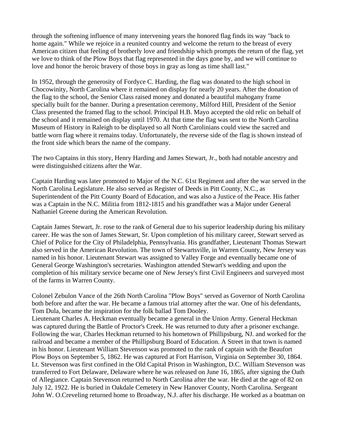through the softening influence of many intervening years the honored flag finds its way "back to home again." While we rejoice in a reunited country and welcome the return to the breast of every American citizen that feeling of brotherly love and friendship which prompts the return of the flag, yet we love to think of the Plow Boys that flag represented in the days gone by, and we will continue to love and honor the heroic bravery of those boys in gray as long as time shall last."

In 1952, through the generosity of Fordyce C. Harding, the flag was donated to the high school in Chocowinity, North Carolina where it remained on display for nearly 20 years. After the donation of the flag to the school, the Senior Class raised money and donated a beautiful mahogany frame specially built for the banner. During a presentation ceremony, Milford Hill, President of the Senior Class presented the framed flag to the school. Principal H.B. Mayo accepted the old relic on behalf of the school and it remained on display until 1970. At that time the flag was sent to the North Carolina Museum of History in Raleigh to be displayed so all North Carolinians could view the sacred and battle worn flag where it remains today. Unfortunately, the reverse side of the flag is shown instead of the front side which bears the name of the company.

The two Captains in this story, Henry Harding and James Stewart, Jr., both had notable ancestry and were distinguished citizens after the War.

Captain Harding was later promoted to Major of the N.C. 61st Regiment and after the war served in the North Carolina Legislature. He also served as Register of Deeds in Pitt County, N.C., as Superintendent of the Pitt County Board of Education, and was also a Justice of the Peace. His father was a Captain in the N.C. Militia from 1812-1815 and his grandfather was a Major under General Nathaniel Greene during the American Revolution.

Captain James Stewart, Jr. rose to the rank of General due to his superior leadership during his military career. He was the son of James Stewart, Sr. Upon completion of his military career, Stewart served as Chief of Police for the City of Philadelphia, Pennsylvania. His grandfather, Lieutenant Thomas Stewart also served in the American Revolution. The town of Stewartsville, in Warren County, New Jersey was named in his honor. Lieutenant Stewart was assigned to Valley Forge and eventually became one of General George Washington's secretaries. Washington attended Stewart's wedding and upon the completion of his military service became one of New Jersey's first Civil Engineers and surveyed most of the farms in Warren County.

Colonel Zebulon Vance of the 26th North Carolina "Plow Boys" served as Governor of North Carolina both before and after the war. He became a famous trial attorney after the war. One of his defendants, Tom Dula, became the inspiration for the folk ballad Tom Dooley.

Lieutenant Charles A. Heckman eventually became a general in the Union Army. General Heckman was captured during the Battle of Proctor's Creek. He was returned to duty after a prisoner exchange. Following the war, Charles Heckman returned to his hometown of Phillipsburg, NJ. and worked for the railroad and became a member of the Phillipsburg Board of Education. A Street in that town is named in his honor. Lieutenant William Stevenson was promoted to the rank of captain with the Beaufort Plow Boys on September 5, 1862. He was captured at Fort Harrison, Virginia on September 30, 1864. Lt. Stevenson was first confined in the Old Capital Prison in Washington, D.C. William Stevenson was transferred to Fort Delaware, Delaware where he was released on June 16, 1865, after signing the Oath of Allegiance. Captain Stevenson returned to North Carolina after the war. He died at the age of 82 on July 12, 1922. He is buried in Oakdale Cemetery in New Hanover County, North Carolina. Sergeant John W. O.Creveling returned home to Broadway, N.J. after his discharge. He worked as a boatman on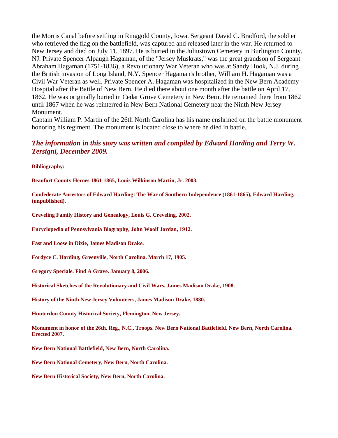the Morris Canal before settling in Ringgold County, Iowa. Sergeant David C. Bradford, the soldier who retrieved the flag on the battlefield, was captured and released later in the war. He returned to New Jersey and died on July 11, 1897. He is buried in the Juliustown Cemetery in Burlington County, NJ. Private Spencer Alpaugh Hagaman, of the "Jersey Muskrats," was the great grandson of Sergeant Abraham Hagaman (1751-1836), a Revolutionary War Veteran who was at Sandy Hook, N.J. during the British invasion of Long Island, N.Y. Spencer Hagaman's brother, William H. Hagaman was a Civil War Veteran as well. Private Spencer A. Hagaman was hospitalized in the New Bern Academy Hospital after the Battle of New Bern. He died there about one month after the battle on April 17, 1862. He was originally buried in Cedar Grove Cemetery in New Bern. He remained there from 1862 until 1867 when he was reinterred in New Bern National Cemetery near the Ninth New Jersey Monument.

Captain William P. Martin of the 26th North Carolina has his name enshrined on the battle monument honoring his regiment. The monument is located close to where he died in battle.

### *The information in this story was written and compiled by Edward Harding and Terry W. Tersigni, December 2009.*

**Bibliography:** 

**Beaufort County Heroes 1861-1865, Louis Wilkinson Martin, Jr. 2003.** 

**Confederate Ancestors of Edward Harding: The War of Southern Independence (1861-1865), Edward Harding, (unpublished).** 

**Creveling Family History and Genealogy, Louis G. Creveling, 2002.** 

**Encyclopedia of Pennsylvania Biography, John Woolf Jordan, 1912.** 

**Fast and Loose in Dixie, James Madison Drake.** 

**Fordyce C. Harding, Greenville, North Carolina. March 17, 1905.** 

**Gregory Speciale. Find A Grave. January 8, 2006.** 

**Historical Sketches of the Revolutionary and Civil Wars, James Madison Drake, 1908.** 

**History of the Ninth New Jersey Volunteers, James Madison Drake, 1880.** 

**Hunterdon County Historical Society, Flemington, New Jersey.** 

**Monument in honor of the 26th. Reg., N.C., Troops. New Bern National Battlefield, New Bern, North Carolina. Erected 2007.** 

**New Bern National Battlefield, New Bern, North Carolina.** 

**New Bern National Cemetery, New Bern, North Carolina.** 

**New Bern Historical Society, New Bern, North Carolina.**